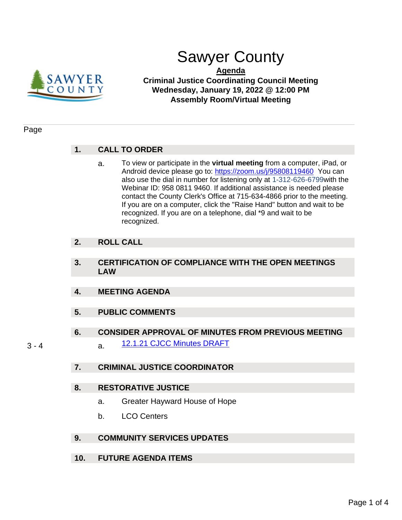

# Sawyer County

**Agenda Criminal Justice Coordinating Council Meeting Wednesday, January 19, 2022 @ 12:00 PM Assembly Room/Virtual Meeting**

#### Page

## **1. CALL TO ORDER**

a. To view or participate in the **virtual meeting** from a computer, iPad, or Android device please go to: [https://zoom.us/j/95808119460](https://us02web.zoom.us/j/83970250533?pwd=RG9ZUy9vWWNOcFI5T2pCOEJzMjR0QT09) You can also use the dial in number for listening only at 1-312-626-6799with the Webinar ID: 958 0811 9460. If additional assistance is needed please contact the County Clerk's Office at 715-634-4866 prior to the meeting. If you are on a computer, click the "Raise Hand" button and wait to be recognized. If you are on a telephone, dial \*9 and wait to be recognized.

# **2. ROLL CALL**

- **3. CERTIFICATION OF COMPLIANCE WITH THE OPEN MEETINGS LAW**
- **4. MEETING AGENDA**
- **5. PUBLIC COMMENTS**
- **6. CONSIDER APPROVAL OF MINUTES FROM PREVIOUS MEETING**
- - 3 4 **a.** [12.1.21 CJCC Minutes DRAFT](#page-2-0)
		- **7. CRIMINAL JUSTICE COORDINATOR**

### **8. RESTORATIVE JUSTICE**

- a. Greater Hayward House of Hope
- b. LCO Centers
- **9. COMMUNITY SERVICES UPDATES**
- **10. FUTURE AGENDA ITEMS**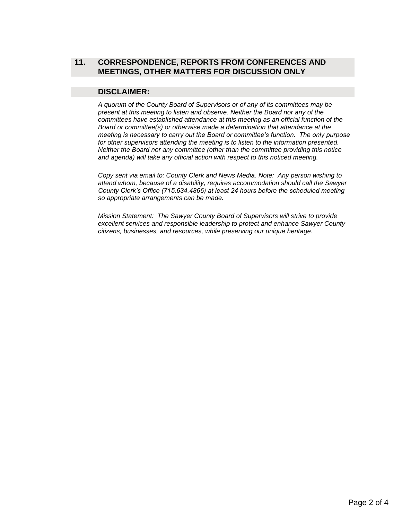# **11. CORRESPONDENCE, REPORTS FROM CONFERENCES AND MEETINGS, OTHER MATTERS FOR DISCUSSION ONLY**

### **DISCLAIMER:**

*A quorum of the County Board of Supervisors or of any of its committees may be present at this meeting to listen and observe. Neither the Board nor any of the committees have established attendance at this meeting as an official function of the Board or committee(s) or otherwise made a determination that attendance at the meeting is necessary to carry out the Board or committee's function. The only purpose for other supervisors attending the meeting is to listen to the information presented. Neither the Board nor any committee (other than the committee providing this notice and agenda) will take any official action with respect to this noticed meeting.*

*Copy sent via email to: County Clerk and News Media. Note: Any person wishing to attend whom, because of a disability, requires accommodation should call the Sawyer County Clerk's Office (715.634.4866) at least 24 hours before the scheduled meeting so appropriate arrangements can be made.* 

*Mission Statement: The Sawyer County Board of Supervisors will strive to provide excellent services and responsible leadership to protect and enhance Sawyer County citizens, businesses, and resources, while preserving our unique heritage.*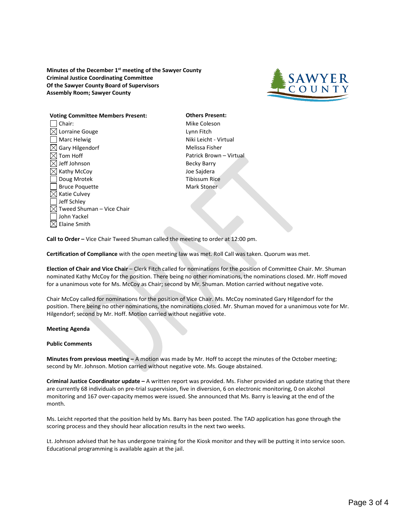<span id="page-2-0"></span>**Minutes of the December 1st meeting of the Sawyer County Criminal Justice Coordinating Committee Of the Sawyer County Board of Supervisors Assembly Room; Sawyer County**



# **Voting Committee Members Present: Others Present:** □ Chair: Mike Coleson

 $\boxtimes$  Lorraine Gouge  $\Box$  Lynn Fitch □ Marc Helwig Niki Leicht - Virtual  $\boxtimes$  Gary Hilgendorf  $\blacksquare$  $\boxtimes$  Tom Hoff  $\blacksquare$  Patrick Brown – Virtual  $\boxtimes$  Jeff Johnson Becky Barry Kathy McCoy Joe Sajdera Doug Mrotek Tibissum Rice Bruce Poquette **Mark Stoner**  $\boxtimes$  Katie Culvey Jeff Schley  $\boxtimes$  Tweed Shuman – Vice Chair John Yackel  $\boxtimes$  Elaine Smith

**Call to Order –** Vice Chair Tweed Shuman called the meeting to order at 12:00 pm.

**Certification of Compliance** with the open meeting law was met. Roll Call was taken. Quorum was met.

**Election of Chair and Vice Chair** – Clerk Fitch called for nominations for the position of Committee Chair. Mr. Shuman nominated Kathy McCoy for the position. There being no other nominations, the nominations closed. Mr. Hoff moved for a unanimous vote for Ms. McCoy as Chair; second by Mr. Shuman. Motion carried without negative vote.

Chair McCoy called for nominations for the position of Vice Chair. Ms. McCoy nominated Gary Hilgendorf for the position. There being no other nominations, the nominations closed. Mr. Shuman moved for a unanimous vote for Mr. Hilgendorf; second by Mr. Hoff. Motion carried without negative vote.

#### **Meeting Agenda**

#### **Public Comments**

**Minutes from previous meeting –** A motion was made by Mr. Hoff to accept the minutes of the October meeting; second by Mr. Johnson. Motion carried without negative vote. Ms. Gouge abstained.

**Criminal Justice Coordinator update –** A written report was provided. Ms. Fisher provided an update stating that there are currently 68 individuals on pre-trial supervision, five in diversion, 6 on electronic monitoring, 0 on alcohol monitoring and 167 over-capacity memos were issued. She announced that Ms. Barry is leaving at the end of the month.

Ms. Leicht reported that the position held by Ms. Barry has been posted. The TAD application has gone through the scoring process and they should hear allocation results in the next two weeks.

Lt. Johnson advised that he has undergone training for the Kiosk monitor and they will be putting it into service soon. Educational programming is available again at the jail.